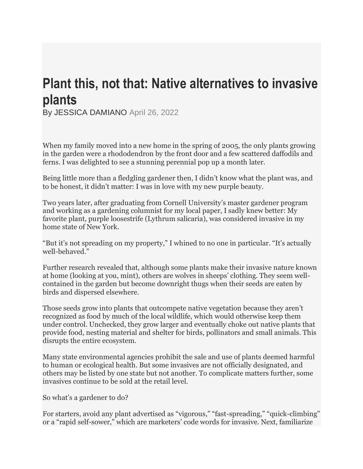## **Plant this, not that: Native alternatives to invasive plants**

By JESSICA DAMIANO April 26, 2022

When my family moved into a new home in the spring of 2005, the only plants growing in the garden were a rhododendron by the front door and a few scattered daffodils and ferns. I was delighted to see a stunning perennial pop up a month later.

Being little more than a fledgling gardener then, I didn't know what the plant was, and to be honest, it didn't matter: I was in love with my new purple beauty.

Two years later, after graduating from Cornell University's master gardener program and working as a gardening columnist for my local paper, I sadly knew better: My favorite plant, purple loosestrife (Lythrum salicaria), was considered invasive in my home state of New York.

"But it's not spreading on my property," I whined to no one in particular. "It's actually well-behaved."

Further research revealed that, although some plants make their invasive nature known at home (looking at you, mint), others are wolves in sheeps' clothing. They seem wellcontained in the garden but become downright thugs when their seeds are eaten by birds and dispersed elsewhere.

Those seeds grow into plants that outcompete native vegetation because they aren't recognized as food by much of the local wildlife, which would otherwise keep them under control. Unchecked, they grow larger and eventually choke out native plants that provide food, nesting material and shelter for birds, pollinators and small animals. This disrupts the entire ecosystem.

Many state environmental agencies prohibit the sale and use of plants deemed harmful to human or ecological health. But some invasives are not officially designated, and others may be listed by one state but not another. To complicate matters further, some invasives continue to be sold at the retail level.

So what's a gardener to do?

For starters, avoid any plant advertised as "vigorous," "fast-spreading," "quick-climbing" or a "rapid self-sower," which are marketers' code words for invasive. Next, familiarize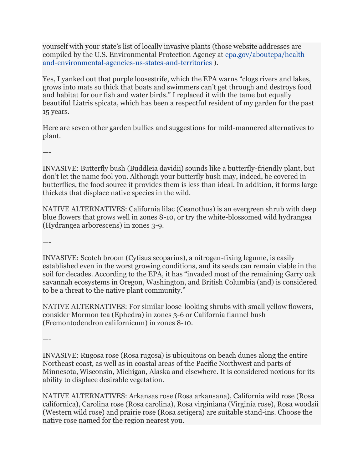yourself with your state's list of locally invasive plants (those website addresses are compiled by the U.S. Environmental Protection Agency at [epa.gov/aboutepa/health](https://www.epa.gov/aboutepa/health-and-environmental-agencies-us-states-and-territories)[and-environmental-agencies-us-states-and-territories](https://www.epa.gov/aboutepa/health-and-environmental-agencies-us-states-and-territories) ).

Yes, I yanked out that purple loosestrife, which the EPA warns "clogs rivers and lakes, grows into mats so thick that boats and swimmers can't get through and destroys food and habitat for our fish and water birds." I replaced it with the tame but equally beautiful Liatris spicata, which has been a respectful resident of my garden for the past 15 years.

Here are seven other garden bullies and suggestions for mild-mannered alternatives to plant.

—-

INVASIVE: Butterfly bush (Buddleia davidii) sounds like a butterfly-friendly plant, but don't let the name fool you. Although your butterfly bush may, indeed, be covered in butterflies, the food source it provides them is less than ideal. In addition, it forms large thickets that displace native species in the wild.

NATIVE ALTERNATIVES: California lilac (Ceanothus) is an evergreen shrub with deep blue flowers that grows well in zones 8-10, or try the white-blossomed wild hydrangea (Hydrangea arborescens) in zones 3-9.

—-

INVASIVE: Scotch broom (Cytisus scoparius), a nitrogen-fixing legume, is easily established even in the worst growing conditions, and its seeds can remain viable in the soil for decades. According to the EPA, it has "invaded most of the remaining Garry oak savannah ecosystems in Oregon, Washington, and British Columbia (and) is considered to be a threat to the native plant community."

NATIVE ALTERNATIVES: For similar loose-looking shrubs with small yellow flowers, consider Mormon tea (Ephedra) in zones 3-6 or California flannel bush (Fremontodendron californicum) in zones 8-10.

—-

INVASIVE: Rugosa rose (Rosa rugosa) is ubiquitous on beach dunes along the entire Northeast coast, as well as in coastal areas of the Pacific Northwest and parts of Minnesota, Wisconsin, Michigan, Alaska and elsewhere. It is considered noxious for its ability to displace desirable vegetation.

NATIVE ALTERNATIVES: Arkansas rose (Rosa arkansana), California wild rose (Rosa californica), Carolina rose (Rosa carolina), Rosa virginiana (Virginia rose), Rosa woodsii (Western wild rose) and prairie rose (Rosa setigera) are suitable stand-ins. Choose the native rose named for the region nearest you.